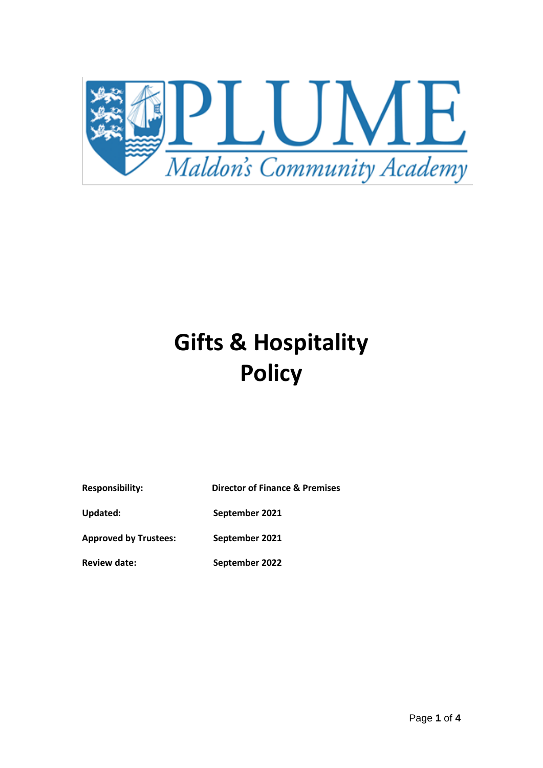

## **Gifts & Hospitality Policy**

| <b>Responsibility:</b> |  |
|------------------------|--|
|------------------------|--|

**Director of Finance & Premises** 

**Updated: September 2021**

**Approved by Trustees: September 2021**

**Review date: September 2022**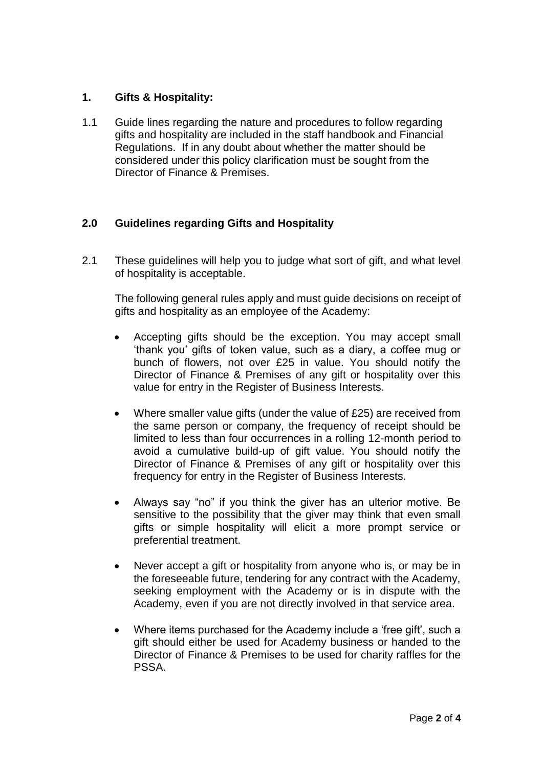## **1. Gifts & Hospitality:**

1.1 Guide lines regarding the nature and procedures to follow regarding gifts and hospitality are included in the staff handbook and Financial Regulations. If in any doubt about whether the matter should be considered under this policy clarification must be sought from the Director of Finance & Premises.

## **2.0 Guidelines regarding Gifts and Hospitality**

2.1 These guidelines will help you to judge what sort of gift, and what level of hospitality is acceptable.

The following general rules apply and must guide decisions on receipt of gifts and hospitality as an employee of the Academy:

- Accepting gifts should be the exception. You may accept small 'thank you' gifts of token value, such as a diary, a coffee mug or bunch of flowers, not over £25 in value. You should notify the Director of Finance & Premises of any gift or hospitality over this value for entry in the Register of Business Interests.
- Where smaller value gifts (under the value of £25) are received from the same person or company, the frequency of receipt should be limited to less than four occurrences in a rolling 12-month period to avoid a cumulative build-up of gift value. You should notify the Director of Finance & Premises of any gift or hospitality over this frequency for entry in the Register of Business Interests.
- Always say "no" if you think the giver has an ulterior motive. Be sensitive to the possibility that the giver may think that even small gifts or simple hospitality will elicit a more prompt service or preferential treatment.
- Never accept a gift or hospitality from anyone who is, or may be in the foreseeable future, tendering for any contract with the Academy, seeking employment with the Academy or is in dispute with the Academy, even if you are not directly involved in that service area.
- Where items purchased for the Academy include a 'free gift', such a gift should either be used for Academy business or handed to the Director of Finance & Premises to be used for charity raffles for the PSSA.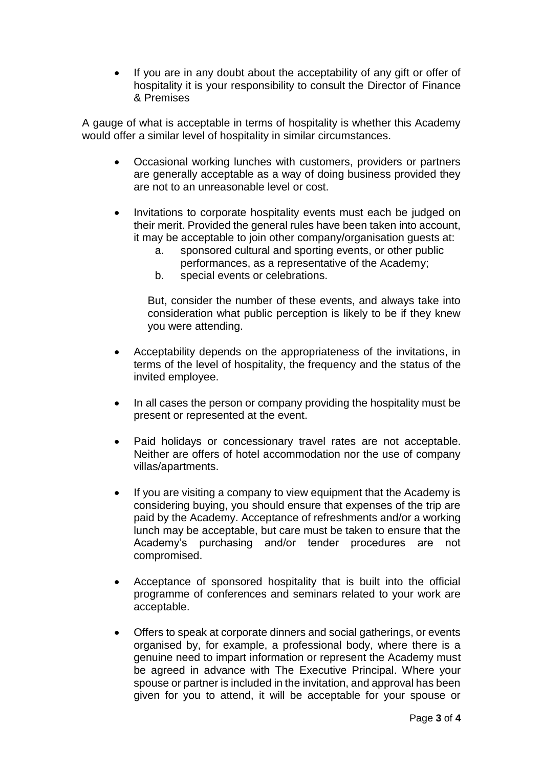If you are in any doubt about the acceptability of any gift or offer of hospitality it is your responsibility to consult the Director of Finance & Premises

A gauge of what is acceptable in terms of hospitality is whether this Academy would offer a similar level of hospitality in similar circumstances.

- Occasional working lunches with customers, providers or partners are generally acceptable as a way of doing business provided they are not to an unreasonable level or cost.
- Invitations to corporate hospitality events must each be judged on their merit. Provided the general rules have been taken into account, it may be acceptable to join other company/organisation guests at:
	- a. sponsored cultural and sporting events, or other public performances, as a representative of the Academy;
	- b. special events or celebrations.

But, consider the number of these events, and always take into consideration what public perception is likely to be if they knew you were attending.

- Acceptability depends on the appropriateness of the invitations, in terms of the level of hospitality, the frequency and the status of the invited employee.
- In all cases the person or company providing the hospitality must be present or represented at the event.
- Paid holidays or concessionary travel rates are not acceptable. Neither are offers of hotel accommodation nor the use of company villas/apartments.
- If you are visiting a company to view equipment that the Academy is considering buying, you should ensure that expenses of the trip are paid by the Academy. Acceptance of refreshments and/or a working lunch may be acceptable, but care must be taken to ensure that the Academy's purchasing and/or tender procedures are not compromised.
- Acceptance of sponsored hospitality that is built into the official programme of conferences and seminars related to your work are acceptable.
- Offers to speak at corporate dinners and social gatherings, or events organised by, for example, a professional body, where there is a genuine need to impart information or represent the Academy must be agreed in advance with The Executive Principal. Where your spouse or partner is included in the invitation, and approval has been given for you to attend, it will be acceptable for your spouse or